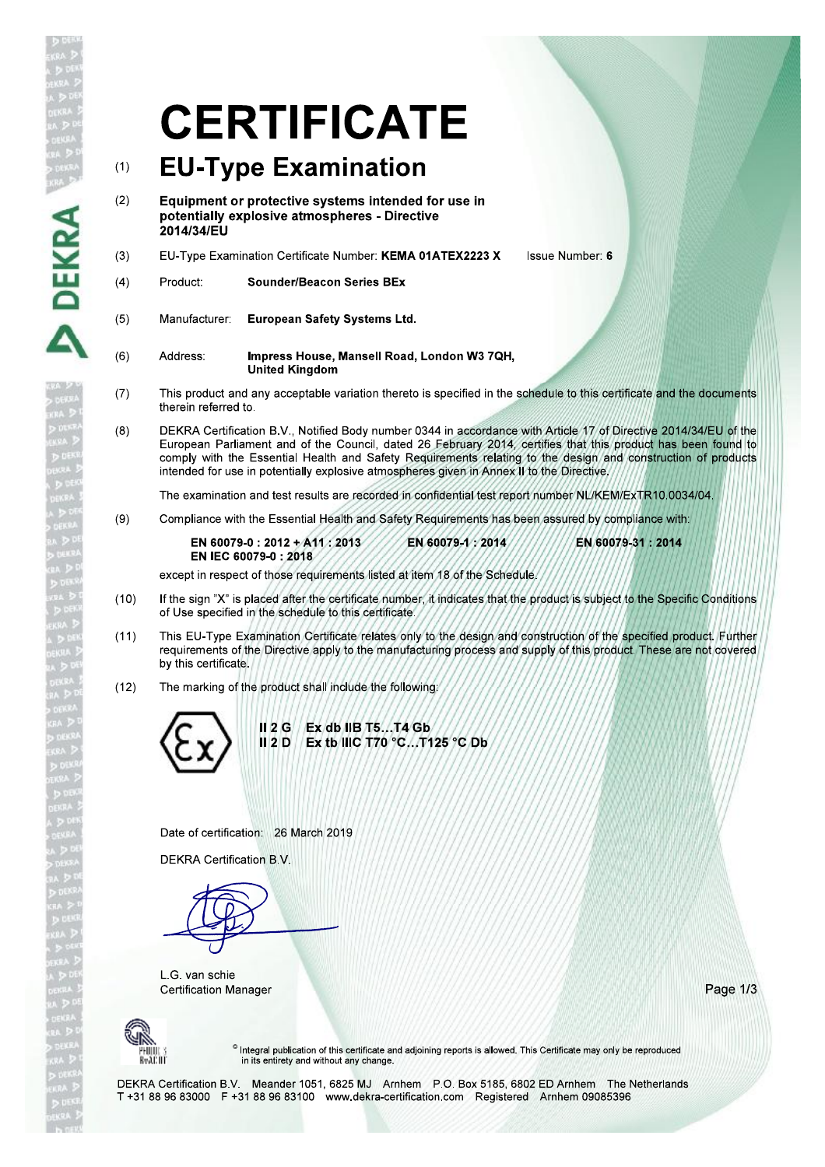# **CERTIFICATE**

## **EU-Type Examination**  $(1)$

- $(2)$ Equipment or protective systems intended for use in potentially explosive atmospheres - Directive 2014/34/EU
- EU-Type Examination Certificate Number: KEMA 01ATEX2223 X  $(3)$ **Issue Number: 6**
- **Sounder/Beacon Series BEx**  $(4)$ Product:

DEKRA

 $(6)$ 

- $(5)$ **European Safety Systems Ltd.** Manufacturer:
	- Impress House, Mansell Road, London W3 7QH, Address: **United Kingdom**
- This product and any acceptable variation thereto is specified in the schedule to this certificate and the documents  $(7)$ therein referred to.
- $(8)$ DEKRA Certification B.V., Notified Body number 0344 in accordance with Article 17 of Directive 2014/34/EU of the European Parliament and of the Council, dated 26 February 2014, certifies that this product has been found to<br>comply with the Essential Health and Safety Requirements relating to the design and construction of products intended for use in potentially explosive atmospheres given in Annex II to the Directive.

The examination and test results are recorded in confidential test report number NL/KEM/ExTR10.0034/04.

 $(9)$ Compliance with the Essential Health and Safety Requirements has been assured by compliance with:

EN 60079-0: 2012 + A11: 2013 EN 60079-1:2014 EN 60079-31: 2014 EN IEC 60079-0:2018

except in respect of those requirements listed at item 18 of the Schedule,

- If the sign "X" is placed after the certificate number, it indicates that the product is subject to the Specific Conditions  $(10)$ of Use specified in the schedule to this certificate.
- This EU-Type Examination Certificate relates only to the design and construction of the specified product. Further  $(11)$ requirements of the Directive apply to the manufacturing process and supply of this product. These are not covered by this certificate.
- $(12)$ The marking of the product shall include the following:



Date of certification: 26 March 2019

**DEKRA Certification B.V.** 

L.G. van schie **Certification Manager** 

Page 1/3



<sup>®</sup> Integral publication of this certificate and adjoining reports is allowed. This Certificate may only be reproduced in its entirety and without any change.

DEKRA Certification B.V. Meander 1051, 6825 MJ Arnhem P.O. Box 5185, 6802 ED Arnhem The Netherlands T +31 88 96 83000 F +31 88 96 83100 www.dekra-certification.com Registered Arnhem 09085396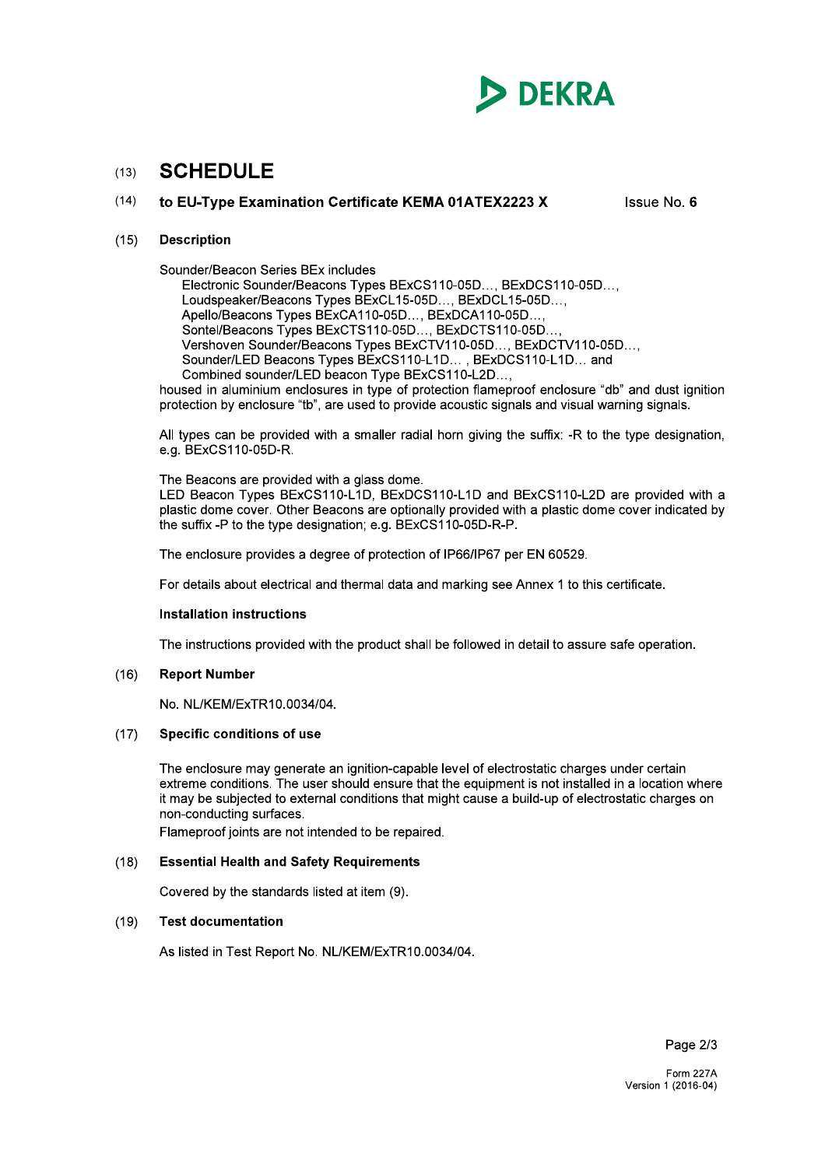

### **SCHEDULE**  $(13)$

### $(14)$ to EU-Type Examination Certificate KEMA 01ATEX2223 X

Issue No. 6

### **Description**  $(15)$

Sounder/Beacon Series BEx includes

Electronic Sounder/Beacons Types BExCS110-05D..., BExDCS110-05D..., Loudspeaker/Beacons Types BExCL15-05D..., BExDCL15-05D..., Apello/Beacons Types BExCA110-05D.... BExDCA110-05D.... Sontel/Beacons Types BExCTS110-05D..., BExDCTS110-05D... Vershoven Sounder/Beacons Types BExCTV110-05D..., BExDCTV110-05D..., Sounder/LED Beacons Types BExCS110-L1D..., BExDCS110-L1D... and Combined sounder/LED beacon Type BExCS110-L2D...,

housed in aluminium enclosures in type of protection flameproof enclosure "db" and dust ignition protection by enclosure "tb", are used to provide acoustic signals and visual warning signals.

All types can be provided with a smaller radial horn giving the suffix: -R to the type designation, e.g. BExCS110-05D-R.

The Beacons are provided with a glass dome.

LED Beacon Types BExCS110-L1D. BExDCS110-L1D and BExCS110-L2D are provided with a plastic dome cover. Other Beacons are optionally provided with a plastic dome cover indicated by the suffix -P to the type designation: e.g. BExCS110-05D-R-P.

The enclosure provides a degree of protection of IP66/IP67 per EN 60529.

For details about electrical and thermal data and marking see Annex 1 to this certificate.

## **Installation instructions**

The instructions provided with the product shall be followed in detail to assure safe operation.

### $(16)$ **Report Number**

No. NL/KEM/ExTR10.0034/04.

### $(17)$ **Specific conditions of use**

The enclosure may generate an ignition-capable level of electrostatic charges under certain extreme conditions. The user should ensure that the equipment is not installed in a location where it may be subjected to external conditions that might cause a build-up of electrostatic charges on non-conducting surfaces.

Flameproof joints are not intended to be repaired.

### $(18)$ **Essential Health and Safety Requirements**

Covered by the standards listed at item (9).

### $(19)$ **Test documentation**

As listed in Test Report No. NL/KEM/ExTR10.0034/04.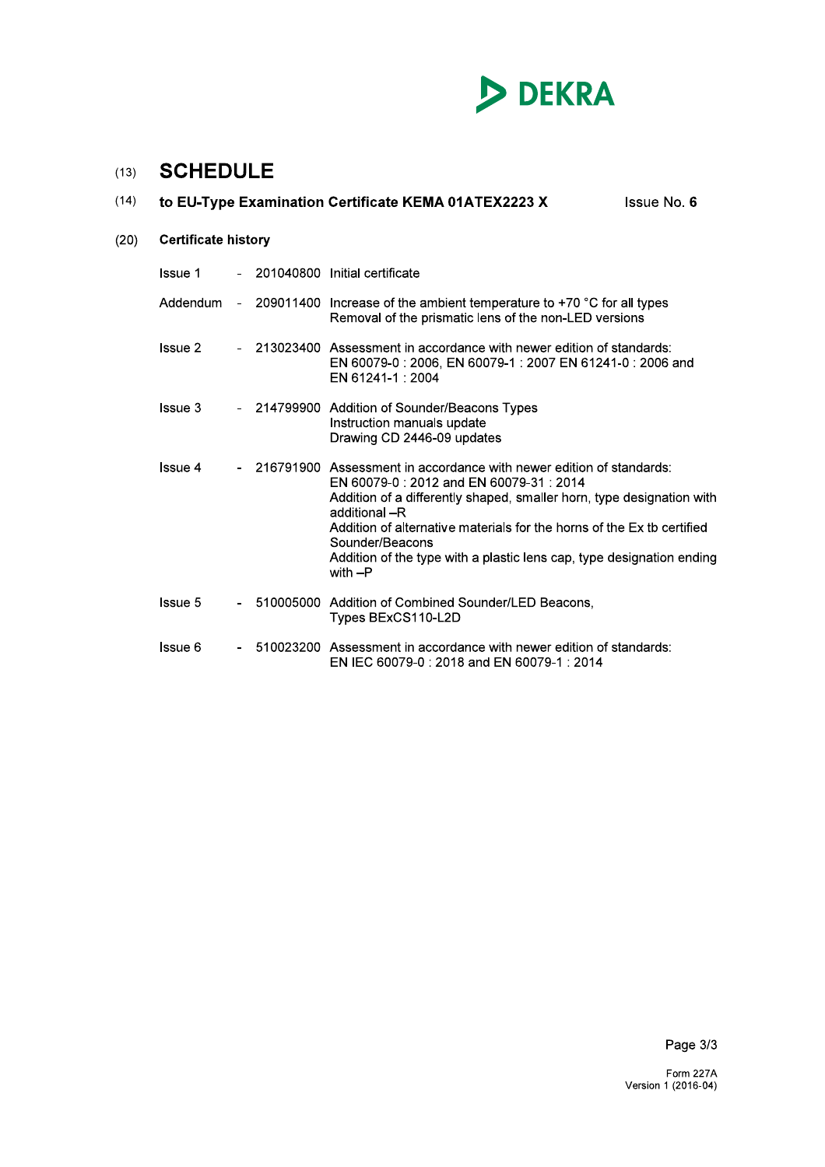

# (13) **SCHEDULE**

| (14) | to EU-Type Examination Certificate KEMA 01ATEX2223 X | <b>Issue No. 6</b> |  |                                                                                                                                                                                                                                                                                                                                                                                            |  |  |  |  |
|------|------------------------------------------------------|--------------------|--|--------------------------------------------------------------------------------------------------------------------------------------------------------------------------------------------------------------------------------------------------------------------------------------------------------------------------------------------------------------------------------------------|--|--|--|--|
| (20) | <b>Certificate history</b>                           |                    |  |                                                                                                                                                                                                                                                                                                                                                                                            |  |  |  |  |
|      | <b>Issue 1</b>                                       |                    |  | 201040800 Initial certificate                                                                                                                                                                                                                                                                                                                                                              |  |  |  |  |
|      | Addendum                                             |                    |  | 209011400 Increase of the ambient temperature to $+70$ °C for all types<br>Removal of the prismatic lens of the non-LED versions                                                                                                                                                                                                                                                           |  |  |  |  |
|      | <b>Issue 2</b>                                       |                    |  | - 213023400 Assessment in accordance with newer edition of standards:<br>EN 60079-0: 2006, EN 60079-1: 2007 EN 61241-0: 2006 and<br>EN 61241-1 : 2004                                                                                                                                                                                                                                      |  |  |  |  |
|      | Issue 3                                              |                    |  | - 214799900 Addition of Sounder/Beacons Types<br>Instruction manuals update<br>Drawing CD 2446-09 updates                                                                                                                                                                                                                                                                                  |  |  |  |  |
|      | <b>Issue 4</b>                                       |                    |  | 216791900 Assessment in accordance with newer edition of standards:<br>EN 60079-0: 2012 and EN 60079-31: 2014<br>Addition of a differently shaped, smaller horn, type designation with<br>additional -R<br>Addition of alternative materials for the horns of the Ex tb certified<br>Sounder/Beacons<br>Addition of the type with a plastic lens cap, type designation ending<br>with $-P$ |  |  |  |  |
|      | <b>Issue 5</b>                                       |                    |  | 510005000 Addition of Combined Sounder/LED Beacons,<br>Types BExCS110-L2D                                                                                                                                                                                                                                                                                                                  |  |  |  |  |
|      | Issue 6                                              |                    |  | 510023200 Assessment in accordance with newer edition of standards:<br>EN IEC 60079-0 : 2018 and EN 60079-1 : 2014                                                                                                                                                                                                                                                                         |  |  |  |  |

Page 3/3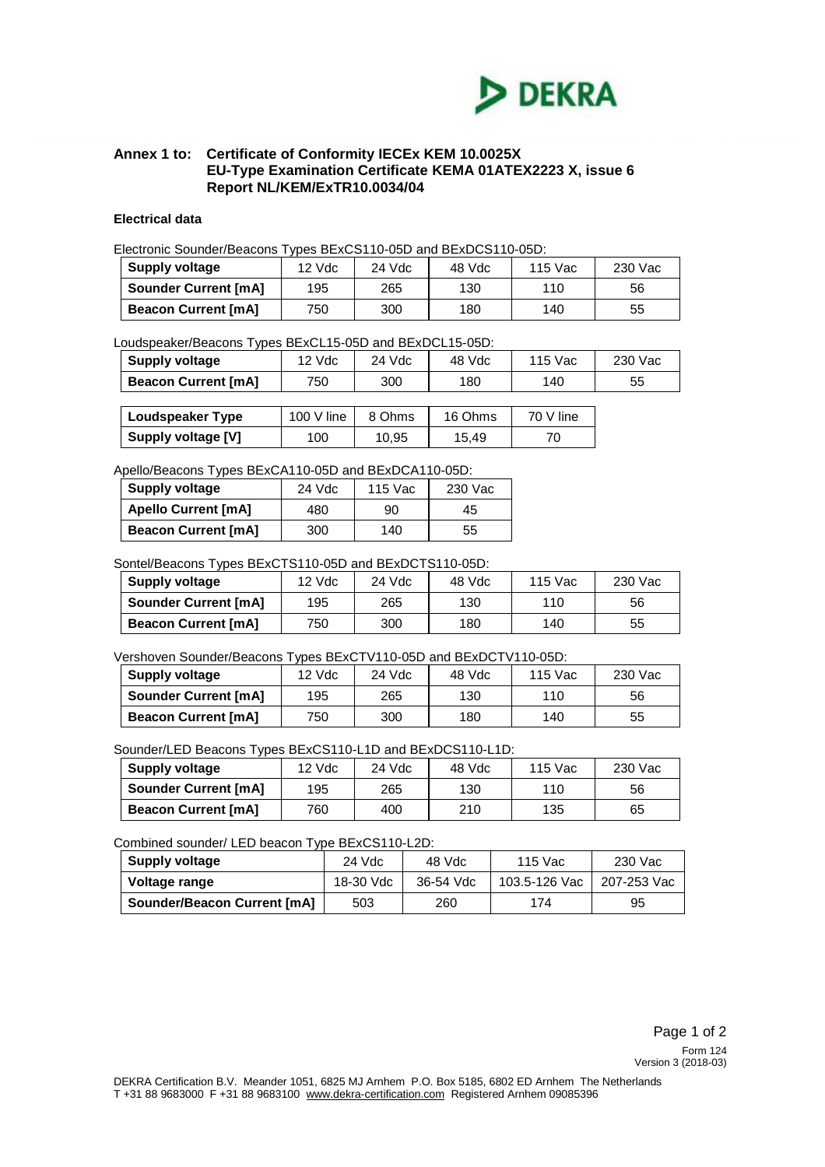

# **Annex 1 to: Certificate of Conformity IECEx KEM 10.0025X EU-Type Examination Certificate KEMA 01ATEX2223 X, issue 6 Report NL/KEM/ExTR10.0034/04**

# **Electrical data**

Electronic Sounder/Beacons Types BExCS110-05D and BExDCS110-05D:

| Supply voltage              | 12 Vdc | 24 Vdc | 48 Vdc | 115 Vac | 230 Vac |
|-----------------------------|--------|--------|--------|---------|---------|
| <b>Sounder Current [mA]</b> | 195    | 265    | 130    | 110     | 56      |
| <b>Beacon Current [mA]</b>  | 750    | 300    | 180    | 140     | 55      |

# Loudspeaker/Beacons Types BExCL15-05D and BExDCL15-05D:

| <b>Supply voltage</b>      | 12 Vdc | 24 Vdc | 48 Vdc | 115 Vac | 230 Vac |
|----------------------------|--------|--------|--------|---------|---------|
| <b>Beacon Current [mA]</b> | 750.   | 300    | 180    | 140     | 55      |

| Loudspeaker Type   | 100 V line | 8 Ohms | 16 Ohms | 70 V line |
|--------------------|------------|--------|---------|-----------|
| Supply voltage [V] | 100        | 10.95  | 15.49   |           |

# Apello/Beacons Types BExCA110-05D and BExDCA110-05D:

| <b>Supply voltage</b>      | 24 Vdc | 115 Vac | 230 Vac |
|----------------------------|--------|---------|---------|
| <b>Apello Current [mA]</b> | 480    | 90      | 45      |
| <b>Beacon Current [mA]</b> | 300    | 140     | 55      |

# Sontel/Beacons Types BExCTS110-05D and BExDCTS110-05D:

| Supply voltage              | $12$ Vdc | 24 Vdc | 48 Vdc | 115 Vac | 230 Vac |
|-----------------------------|----------|--------|--------|---------|---------|
| <b>Sounder Current [mA]</b> | 195      | 265    | 130    | 110     | 56      |
| <b>Beacon Current [mA]</b>  | 750      | 300    | 180    | 140     | 55      |

Vershoven Sounder/Beacons Types BExCTV110-05D and BExDCTV110-05D:

| <b>Supply voltage</b>       | 12 Vdc | 24 Vdc | 48 Vdc | 115 Vac | 230 Vac |
|-----------------------------|--------|--------|--------|---------|---------|
| <b>Sounder Current [mA]</b> | 195    | 265    | 130    | 110     | 56      |
| <b>Beacon Current [mA]</b>  | 750    | 300    | 180    | 140     | 55      |

Sounder/LED Beacons Types BExCS110-L1D and BExDCS110-L1D:

| <b>Supply voltage</b>       | 12 Vdc | 24 Vdc | 48 Vdc | 115 Vac | 230 Vac |
|-----------------------------|--------|--------|--------|---------|---------|
| <b>Sounder Current [mA]</b> | 195    | 265    | 130    | 110     | 56      |
| <b>Beacon Current [mA]</b>  | 760    | 400    | 210    | 135     | 65      |

# Combined sounder/ LED beacon Type BExCS110-L2D:

| <b>Supply voltage</b>              | 24 Vdc    | 48 Vdc    | 115 Vac       | 230 Vac     |
|------------------------------------|-----------|-----------|---------------|-------------|
| Voltage range                      | 18-30 Vdc | 36-54 Vdc | 103.5-126 Vac | 207-253 Vac |
| <b>Sounder/Beacon Current [mA]</b> | 503       | 260       | 174           | 95          |